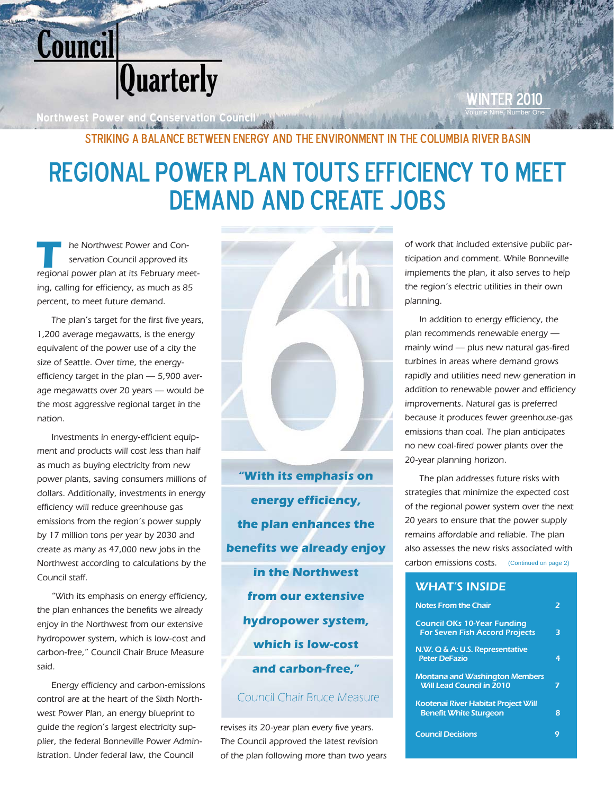

**Northwest Power and Conservation Council Volume 1** 

**WINTER 2010** 

## Striking a Balance Between Energy and the Environment in the Columbia River Basin

# Regional Power Plan Touts Efficiency to Meet DEMAND AND CREATE JOBS

he Northwest Power and Conservation Council approved its regional power plan at its February meeting, calling for efficiency, as much as 85 percent, to meet future demand.

The plan's target for the first five years, 1,200 average megawatts, is the energy equivalent of the power use of a city the size of Seattle. Over time, the energyefficiency target in the plan — 5,900 average megawatts over 20 years — would be the most aggressive regional target in the nation.

Investments in energy-efficient equipment and products will cost less than half as much as buying electricity from new power plants, saving consumers millions of dollars. Additionally, investments in energy efficiency will reduce greenhouse gas emissions from the region's power supply by 17 million tons per year by 2030 and create as many as 47,000 new jobs in the Northwest according to calculations by the Council staff.

"With its emphasis on energy efficiency, the plan enhances the benefits we already enjoy in the Northwest from our extensive hydropower system, which is low-cost and carbon-free," Council Chair Bruce Measure said.

Energy efficiency and carbon-emissions control are at the heart of the Sixth Northwest Power Plan, an energy blueprint to guide the region's largest electricity supplier, the federal Bonneville Power Administration. Under federal law, the Council



**"With its emphasis on energy efficiency, the plan enhances the benefits we already enjoy in the Northwest from our extensive hydropower system, which is low-cost and carbon-free,"**

### Council Chair Bruce Measure

revises its 20-year plan every five years. The Council approved the latest revision of the plan following more than two years ticipation and comment. While Bonneville implements the plan, it also serves to help the region's electric utilities in their own planning.

In addition to energy efficiency, the plan recommends renewable energy mainly wind — plus new natural gas-fired turbines in areas where demand grows rapidly and utilities need new generation in addition to renewable power and efficiency improvements. Natural gas is preferred because it produces fewer greenhouse-gas emissions than coal. The plan anticipates no new coal-fired power plants over the 20-year planning horizon.

carbon emissions costs. (Continued on page 2) The plan addresses future risks with strategies that minimize the expected cost of the regional power system over the next 20 years to ensure that the power supply remains affordable and reliable. The plan also assesses the new risks associated with

### WHAT'S INSIDE

| <b>Notes From the Chair</b>                                                 |   |
|-----------------------------------------------------------------------------|---|
| <b>Council OKs 10-Year Funding</b><br><b>For Seven Fish Accord Projects</b> | R |
| N.W. Q & A: U.S. Representative<br><b>Peter DeFazio</b>                     |   |
| <b>Montana and Washington Members</b><br><b>Will Lead Council in 2010</b>   |   |
| <b>Kootenai River Habitat Project Will</b><br><b>Benefit White Sturgeon</b> | 8 |
| <b>Council Decisions</b>                                                    |   |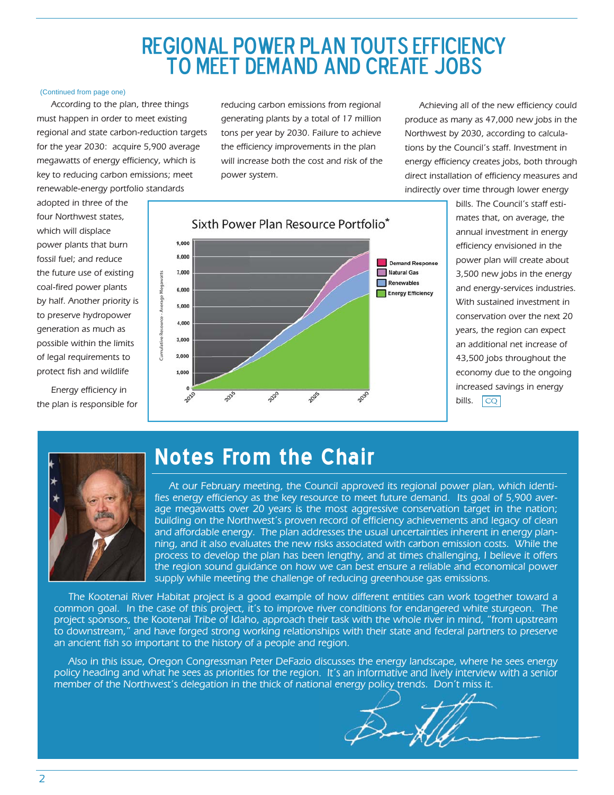# REGIONAL POWER PLAN TOUTS EFFICIENCY<br>TO MEET DEMAND AND CREATE JOBS

#### (Continued from page one)

According to the plan, three things must happen in order to meet existing regional and state carbon-reduction targets for the year 2030: acquire 5,900 average megawatts of energy efficiency, which is key to reducing carbon emissions; meet renewable-energy portfolio standards

adopted in three of the four Northwest states, which will displace power plants that burn fossil fuel; and reduce the future use of existing coal-fired power plants by half. Another priority is to preserve hydropower generation as much as possible within the limits of legal requirements to protect fish and wildlife

Energy efficiency in the plan is responsible for reducing carbon emissions from regional generating plants by a total of 17 million tons per year by 2030. Failure to achieve the efficiency improvements in the plan will increase both the cost and risk of the power system.

Achieving all of the new efficiency could produce as many as 47,000 new jobs in the Northwest by 2030, according to calculations by the Council's staff. Investment in energy efficiency creates jobs, both through direct installation of efficiency measures and indirectly over time through lower energy



 $|CQ|$ bills. The Council's staff estimates that, on average, the annual investment in energy efficiency envisioned in the power plan will create about 3,500 new jobs in the energy and energy-services industries. With sustained investment in conservation over the next 20 years, the region can expect an additional net increase of 43,500 jobs throughout the economy due to the ongoing increased savings in energy bills.



# **Notes From the Chair**

At our February meeting, the Council approved its regional power plan, which identifies energy efficiency as the key resource to meet future demand. Its goal of 5,900 average megawatts over 20 years is the most aggressive conservation target in the nation; building on the Northwest's proven record of efficiency achievements and legacy of clean and affordable energy. The plan addresses the usual uncertainties inherent in energy planning, and it also evaluates the new risks associated with carbon emission costs. While the process to develop the plan has been lengthy, and at times challenging, I believe it offers the region sound guidance on how we can best ensure a reliable and economical power supply while meeting the challenge of reducing greenhouse gas emissions.

The Kootenai River Habitat project is a good example of how different entities can work together toward a common goal. In the case of this project, it's to improve river conditions for endangered white sturgeon. The project sponsors, the Kootenai Tribe of Idaho, approach their task with the whole river in mind, "from upstream to downstream," and have forged strong working relationships with their state and federal partners to preserve an ancient fish so important to the history of a people and region.

Also in this issue, Oregon Congressman Peter DeFazio discusses the energy landscape, where he sees energy policy heading and what he sees as priorities for the region. It's an informative and lively interview with a senior member of the Northwest's delegation in the thick of national energy policy trends. Don't miss it.

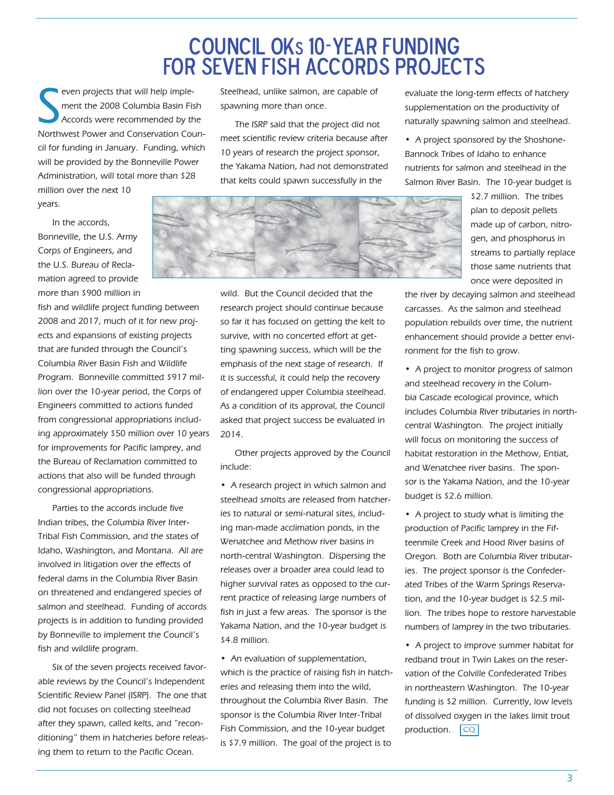# Council OKs 10-year funding For seven Fish Accords projects

S even projects that will help implement the 2008 Columbia Basin Fish Accords were recommended by the Northwest Power and Conservation Council for funding in January. Funding, which will be provided by the Bonneville Power Administration, will total more than \$28

million over the next 10 years.

In the accords, Bonneville, the U.S. Army Corps of Engineers, and the U.S. Bureau of Reclamation agreed to provide more than \$900 million in

fish and wildlife project funding between 2008 and 2017, much of it for new projects and expansions of existing projects that are funded through the Council's Columbia River Basin Fish and Wildlife Program. Bonneville committed \$917 million over the 10-year period, the Corps of Engineers committed to actions funded from congressional appropriations including approximately \$50 million over 10 years for improvements for Pacific lamprey, and the Bureau of Reclamation committed to actions that also will be funded through congressional appropriations.

Parties to the accords include five Indian tribes, the Columbia River Inter-Tribal Fish Commission, and the states of Idaho, Washington, and Montana. All are involved in litigation over the effects of federal dams in the Columbia River Basin on threatened and endangered species of salmon and steelhead. Funding of accords projects is in addition to funding provided by Bonneville to implement the Council's fish and wildlife program.

Six of the seven projects received favorable reviews by the Council's Independent Scientific Review Panel (ISRP). The one that did not focuses on collecting steelhead after they spawn, called kelts, and "reconditioning" them in hatcheries before releasing them to return to the Pacific Ocean.

Steelhead, unlike salmon, are capable of spawning more than once.

The ISRP said that the project did not meet scientific review criteria because after 10 years of research the project sponsor, the Yakama Nation, had not demonstrated that kelts could spawn successfully in the

evaluate the long-term effects of hatchery supplementation on the productivity of naturally spawning salmon and steelhead.

• A project sponsored by the Shoshone-Bannock Tribes of Idaho to enhance nutrients for salmon and steelhead in the Salmon River Basin. The 10-year budget is

> \$2.7 million. The tribes plan to deposit pellets made up of carbon, nitrogen, and phosphorus in streams to partially replace those same nutrients that once were deposited in

the river by decaying salmon and steelhead carcasses. As the salmon and steelhead population rebuilds over time, the nutrient enhancement should provide a better environment for the fish to grow.

• A project to monitor progress of salmon and steelhead recovery in the Columbia Cascade ecological province, which includes Columbia River tributaries in northcentral Washington. The project initially will focus on monitoring the success of habitat restoration in the Methow, Entiat, and Wenatchee river basins. The sponsor is the Yakama Nation, and the 10-year budget is \$2.6 million.

• A project to study what is limiting the production of Pacific lamprey in the Fifteenmile Creek and Hood River basins of Oregon. Both are Columbia River tributaries. The project sponsor is the Confederated Tribes of the Warm Springs Reservation, and the 10-year budget is \$2.5 million. The tribes hope to restore harvestable numbers of lamprey in the two tributaries.

• A project to improve summer habitat for redband trout in Twin Lakes on the reservation of the Colville Confederated Tribes in northeastern Washington. The 10-year funding is \$2 million. Currently, low levels of dissolved oxygen in the lakes limit trout production.  $|CQ|$ 



wild. But the Council decided that the research project should continue because so far it has focused on getting the kelt to survive, with no concerted effort at getting spawning success, which will be the emphasis of the next stage of research. If it is successful, it could help the recovery of endangered upper Columbia steelhead. As a condition of its approval, the Council

Other projects approved by the Council include:

asked that project success be evaluated in

2014.

• A research project in which salmon and steelhead smolts are released from hatcheries to natural or semi-natural sites, including man-made acclimation ponds, in the Wenatchee and Methow river basins in north-central Washington. Dispersing the releases over a broader area could lead to higher survival rates as opposed to the current practice of releasing large numbers of fish in just a few areas. The sponsor is the Yakama Nation, and the 10-year budget is \$4.8 million.

• An evaluation of supplementation, which is the practice of raising fish in hatcheries and releasing them into the wild, throughout the Columbia River Basin. The sponsor is the Columbia River Inter-Tribal Fish Commission, and the 10-year budget is \$7.9 million. The goal of the project is to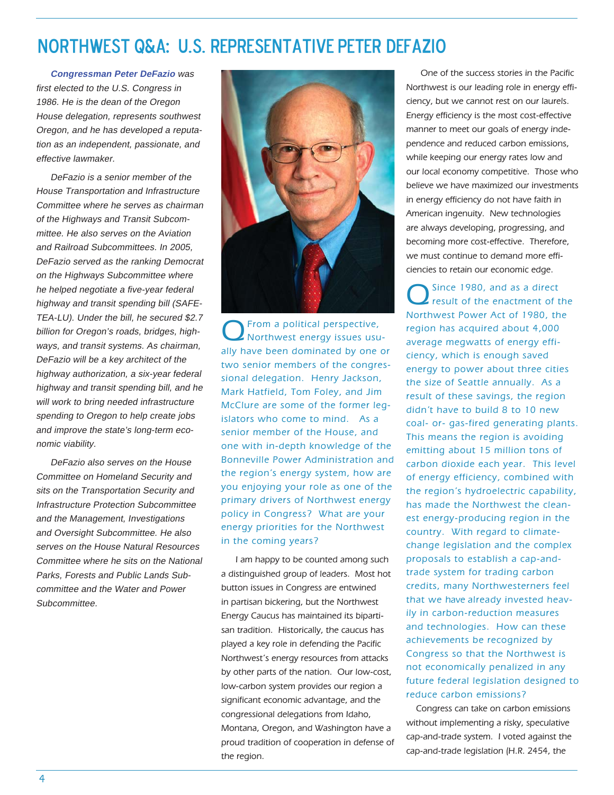# Northwest Q&A: U.s. representative Peter defazio

**Congressman Peter DeFazio** was first elected to the U.S. Congress in 1986. He is the dean of the Oregon House delegation, represents southwest Oregon, and he has developed a reputation as an independent, passionate, and effective lawmaker.

DeFazio is a senior member of the House Transportation and Infrastructure Committee where he serves as chairman of the Highways and Transit Subcommittee. He also serves on the Aviation and Railroad Subcommittees. In 2005, DeFazio served as the ranking Democrat on the Highways Subcommittee where he helped negotiate a five-year federal highway and transit spending bill (SAFE-TEA-LU). Under the bill, he secured \$2.7 billion for Oregon's roads, bridges, highways, and transit systems. As chairman, DeFazio will be a key architect of the highway authorization, a six-year federal highway and transit spending bill, and he will work to bring needed infrastructure spending to Oregon to help create jobs and improve the state's long-term economic viability.

DeFazio also serves on the House Committee on Homeland Security and sits on the Transportation Security and Infrastructure Protection Subcommittee and the Management, Investigations and Oversight Subcommittee. He also serves on the House Natural Resources Committee where he sits on the National Parks, Forests and Public Lands Subcommittee and the Water and Power Subcommittee.



QFrom a political perspective, Northwest energy issues usually have been dominated by one or two senior members of the congressional delegation. Henry Jackson, Mark Hatfield, Tom Foley, and Jim McClure are some of the former legislators who come to mind. As a senior member of the House, and one with in-depth knowledge of the Bonneville Power Administration and the region's energy system, how are you enjoying your role as one of the primary drivers of Northwest energy policy in Congress? What are your energy priorities for the Northwest in the coming years?

I am happy to be counted among such a distinguished group of leaders. Most hot button issues in Congress are entwined in partisan bickering, but the Northwest Energy Caucus has maintained its bipartisan tradition. Historically, the caucus has played a key role in defending the Pacific Northwest's energy resources from attacks by other parts of the nation. Our low-cost, low-carbon system provides our region a significant economic advantage, and the congressional delegations from Idaho, Montana, Oregon, and Washington have a proud tradition of cooperation in defense of the region.

One of the success stories in the Pacific Northwest is our leading role in energy efficiency, but we cannot rest on our laurels. Energy efficiency is the most cost-effective manner to meet our goals of energy independence and reduced carbon emissions, while keeping our energy rates low and our local economy competitive. Those who believe we have maximized our investments in energy efficiency do not have faith in American ingenuity. New technologies are always developing, progressing, and becoming more cost-effective. Therefore, we must continue to demand more efficiencies to retain our economic edge.

Since 1980, and as a direct result of the enactment of the Northwest Power Act of 1980, the region has acquired about 4,000 average megwatts of energy efficiency, which is enough saved energy to power about three cities the size of Seattle annually. As a result of these savings, the region didn't have to build 8 to 10 new coal- or- gas-fired generating plants. This means the region is avoiding emitting about 15 million tons of carbon dioxide each year. This level of energy efficiency, combined with the region's hydroelectric capability, has made the Northwest the cleanest energy-producing region in the country. With regard to climatechange legislation and the complex proposals to establish a cap-andtrade system for trading carbon credits, many Northwesterners feel that we have already invested heavily in carbon-reduction measures and technologies. How can these achievements be recognized by Congress so that the Northwest is not economically penalized in any future federal legislation designed to reduce carbon emissions?

 Congress can take on carbon emissions without implementing a risky, speculative cap-and-trade system. I voted against the cap-and-trade legislation (H.R. 2454, the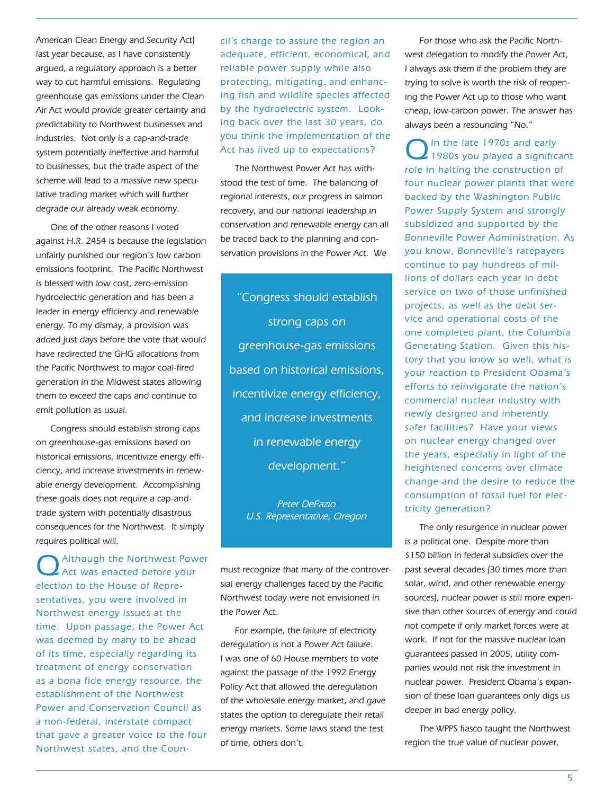American Clean Energy and Security Act) last year because, as I have consistently argued, a regulatory approach is a better way to cut harmful emissions. Regulating greenhouse gas emissions under the Clean Air Act would provide greater certainty and predictability to Northwest businesses and industries. Not only is a cap-and-trade system potentially ineffective and harmful to businesses, but the trade aspect of the scheme will lead to a massive new speculative trading market which will further degrade our already weak economy.

One of the other reasons I voted against H.R. 2454 is because the legislation unfairly punished our region's low carbon emissions footprint. The Pacific Northwest is blessed with low cost, zero-emission hydroelectric generation and has been a leader in energy efficiency and renewable energy. To my dismay, a provision was added just days before the vote that would have redirected the GHG allocations from the Pacific Northwest to major coal-fired generation in the Midwest states allowing them to exceed the caps and continue to emit pollution as usual.

Congress should establish strong caps on greenhouse-gas emissions based on historical emissions, incentivize energy efficiency, and increase investments in renewable energy development. Accomplishing these goals does not require a cap-andtrade system with potentially disastrous consequences for the Northwest. It simply requires political will.

Although the Northwest Power Act was enacted before your election to the House of Representatives, you were involved in Northwest energy issues at the time. Upon passage, the Power Act was deemed by many to be ahead of its time, especially regarding its treatment of energy conservation as a bona fide energy resource, the establishment of the Northwest Power and Conservation Council as a non-federal, interstate compact that gave a greater voice to the four Northwest states, and the Coun-

cil's charge to assure the region an adequate, efficient, economical, and reliable power supply while also protecting, mitigating, and enhancing fish and wildlife species affected by the hydroelectric system. Looking back over the last 30 years, do you think the implementation of the Act has lived up to expectations?

The Northwest Power Act has withstood the test of time. The balancing of regional interests, our progress in salmon recovery, and our national leadership in conservation and renewable energy can all be traced back to the planning and conservation provisions in the Power Act. We

"Congress should establish strong caps on greenhouse-gas emissions based on historical emissions, incentivize energy efficiency, and increase investments in renewable energy development."

Peter DeFazio U.S. Representative, Oregon

must recognize that many of the controversial energy challenges faced by the Pacific Northwest today were not envisioned in the Power Act.

For example, the failure of electricity deregulation is not a Power Act failure. I was one of 60 House members to vote against the passage of the 1992 Energy Policy Act that allowed the deregulation of the wholesale energy market, and gave states the option to deregulate their retail energy markets. Some laws stand the test of time, others don't.

For those who ask the Pacific Northwest delegation to modify the Power Act, I always ask them if the problem they are trying to solve is worth the risk of reopening the Power Act up to those who want cheap, low-carbon power. The answer has always been a resounding "No."

Q In the late 1970s and early<br>1980s you played a significant role in halting the construction of four nuclear power plants that were backed by the Washington Public Power Supply System and strongly subsidized and supported by the Bonneville Power Administration. As you know, Bonneville's ratepayers continue to pay hundreds of millions of dollars each year in debt service on two of those unfinished projects, as well as the debt service and operational costs of the one completed plant, the Columbia Generating Station. Given this history that you know so well, what is your reaction to President Obama's efforts to reinvigorate the nation's commercial nuclear industry with newly designed and inherently safer facilities? Have your views on nuclear energy changed over the years, especially in light of the heightened concerns over climate change and the desire to reduce the consumption of fossil fuel for electricity generation?

The only resurgence in nuclear power is a political one. Despite more than \$150 billion in federal subsidies over the past several decades (30 times more than solar, wind, and other renewable energy sources), nuclear power is still more expensive than other sources of energy and could not compete if only market forces were at work. If not for the massive nuclear loan guarantees passed in 2005, utility companies would not risk the investment in nuclear power. President Obama's expansion of these loan guarantees only digs us deeper in bad energy policy.

The WPPS fiasco taught the Northwest region the true value of nuclear power,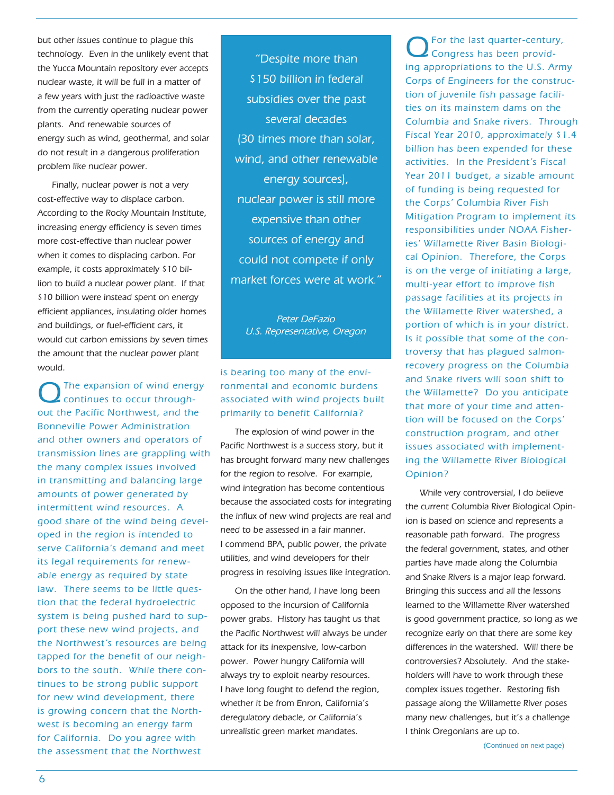but other issues continue to plague this technology. Even in the unlikely event that the Yucca Mountain repository ever accepts nuclear waste, it will be full in a matter of a few years with just the radioactive waste from the currently operating nuclear power plants. And renewable sources of energy such as wind, geothermal, and solar do not result in a dangerous proliferation problem like nuclear power.

Finally, nuclear power is not a very cost-effective way to displace carbon. According to the Rocky Mountain Institute, increasing energy efficiency is seven times more cost-effective than nuclear power when it comes to displacing carbon. For example, it costs approximately \$10 billion to build a nuclear power plant. If that \$10 billion were instead spent on energy efficient appliances, insulating older homes and buildings, or fuel-efficient cars, it would cut carbon emissions by seven times the amount that the nuclear power plant would.

The expansion of wind energy continues to occur throughout the Pacific Northwest, and the Bonneville Power Administration and other owners and operators of transmission lines are grappling with the many complex issues involved in transmitting and balancing large amounts of power generated by intermittent wind resources. A good share of the wind being developed in the region is intended to serve California's demand and meet its legal requirements for renewable energy as required by state law. There seems to be little question that the federal hydroelectric system is being pushed hard to support these new wind projects, and the Northwest's resources are being tapped for the benefit of our neighbors to the south. While there continues to be strong public support for new wind development, there is growing concern that the Northwest is becoming an energy farm for California. Do you agree with the assessment that the Northwest

"Despite more than \$150 billion in federal subsidies over the past several decades (30 times more than solar, wind, and other renewable energy sources), nuclear power is still more expensive than other sources of energy and could not compete if only market forces were at work."

Peter DeFazio U.S. Representative, Oregon

### is bearing too many of the environmental and economic burdens associated with wind projects built primarily to benefit California?

The explosion of wind power in the Pacific Northwest is a success story, but it has brought forward many new challenges for the region to resolve. For example, wind integration has become contentious because the associated costs for integrating the influx of new wind projects are real and need to be assessed in a fair manner. I commend BPA, public power, the private utilities, and wind developers for their progress in resolving issues like integration.

On the other hand, I have long been opposed to the incursion of California power grabs. History has taught us that the Pacific Northwest will always be under attack for its inexpensive, low-carbon power. Power hungry California will always try to exploit nearby resources. I have long fought to defend the region, whether it be from Enron, California's deregulatory debacle, or California's unrealistic green market mandates.

QFor the last quarter-century, Congress has been providing appropriations to the U.S. Army Corps of Engineers for the construction of juvenile fish passage facilities on its mainstem dams on the Columbia and Snake rivers. Through Fiscal Year 2010, approximately \$1.4 billion has been expended for these activities. In the President's Fiscal Year 2011 budget, a sizable amount of funding is being requested for the Corps' Columbia River Fish Mitigation Program to implement its responsibilities under NOAA Fisheries' Willamette River Basin Biological Opinion. Therefore, the Corps is on the verge of initiating a large, multi-year effort to improve fish passage facilities at its projects in the Willamette River watershed, a portion of which is in your district. Is it possible that some of the controversy that has plagued salmonrecovery progress on the Columbia and Snake rivers will soon shift to the Willamette? Do you anticipate that more of your time and attention will be focused on the Corps' construction program, and other issues associated with implementing the Willamette River Biological Opinion?

While very controversial, I do believe the current Columbia River Biological Opinion is based on science and represents a reasonable path forward. The progress the federal government, states, and other parties have made along the Columbia and Snake Rivers is a major leap forward. Bringing this success and all the lessons learned to the Willamette River watershed is good government practice, so long as we recognize early on that there are some key differences in the watershed. Will there be controversies? Absolutely. And the stakeholders will have to work through these complex issues together. Restoring fish passage along the Willamette River poses many new challenges, but it's a challenge I think Oregonians are up to.

(Continued on next page)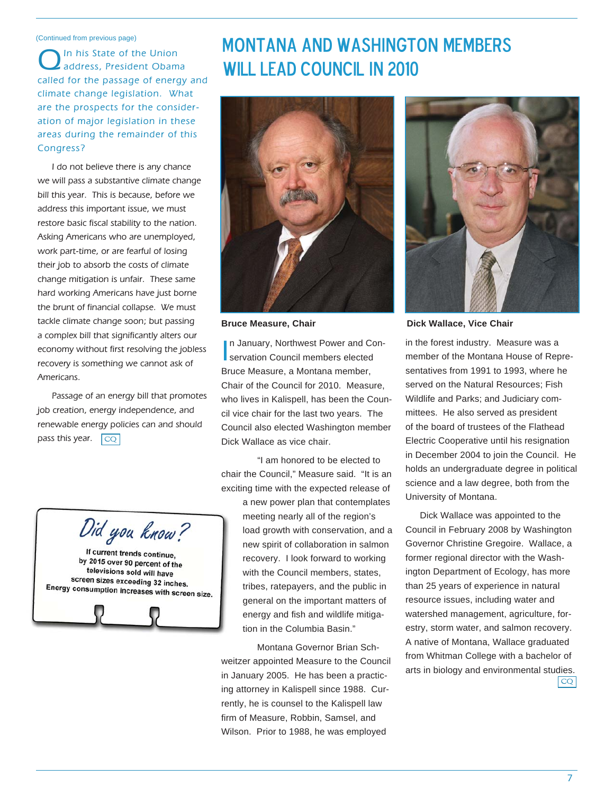#### (Continued from previous page)

QIn his State of the Union address, President Obama called for the passage of energy and climate change legislation. What are the prospects for the consideration of major legislation in these areas during the remainder of this Congress?

I do not believe there is any chance we will pass a substantive climate change bill this year. This is because, before we address this important issue, we must restore basic fiscal stability to the nation. Asking Americans who are unemployed, work part-time, or are fearful of losing their job to absorb the costs of climate change mitigation is unfair. These same hard working Americans have just borne the brunt of financial collapse. We must tackle climate change soon; but passing a complex bill that significantly alters our economy without first resolving the jobless recovery is something we cannot ask of Americans.

pass this year.  $\boxed{\mathbb{CQ}}$ Passage of an energy bill that promotes job creation, energy independence, and renewable energy policies can and should

Did you know?

If current trends continue, by 2015 over 90 percent of the televisions sold will have screen sizes exceeding 32 inches. Energy consumption increases with screen size.

# Montana and Washington members WILL LFAD COUNCIL IN 2010



In January, Northwest Power and Con-<br>
servation Council members elected servation Council members elected Bruce Measure, a Montana member, Chair of the Council for 2010. Measure, who lives in Kalispell, has been the Council vice chair for the last two years. The Council also elected Washington member Dick Wallace as vice chair.

 "I am honored to be elected to chair the Council," Measure said. "It is an exciting time with the expected release of

> a new power plan that contemplates meeting nearly all of the region's load growth with conservation, and a new spirit of collaboration in salmon recovery. I look forward to working with the Council members, states, tribes, ratepayers, and the public in general on the important matters of energy and fish and wildlife mitigation in the Columbia Basin."

Montana Governor Brian Schweitzer appointed Measure to the Council in January 2005. He has been a practicing attorney in Kalispell since 1988. Currently, he is counsel to the Kalispell law firm of Measure, Robbin, Samsel, and Wilson. Prior to 1988, he was employed



**Bruce Measure, Chair Chair Chair Dick Wallace, Vice Chair** 

in the forest industry. Measure was a member of the Montana House of Representatives from 1991 to 1993, where he served on the Natural Resources; Fish Wildlife and Parks; and Judiciary committees. He also served as president of the board of trustees of the Flathead Electric Cooperative until his resignation in December 2004 to join the Council. He holds an undergraduate degree in political science and a law degree, both from the University of Montana.

Dick Wallace was appointed to the Council in February 2008 by Washington Governor Christine Gregoire. Wallace, a former regional director with the Washington Department of Ecology, has more than 25 years of experience in natural resource issues, including water and watershed management, agriculture, forestry, storm water, and salmon recovery. A native of Montana, Wallace graduated from Whitman College with a bachelor of arts in biology and environmental studies. CQ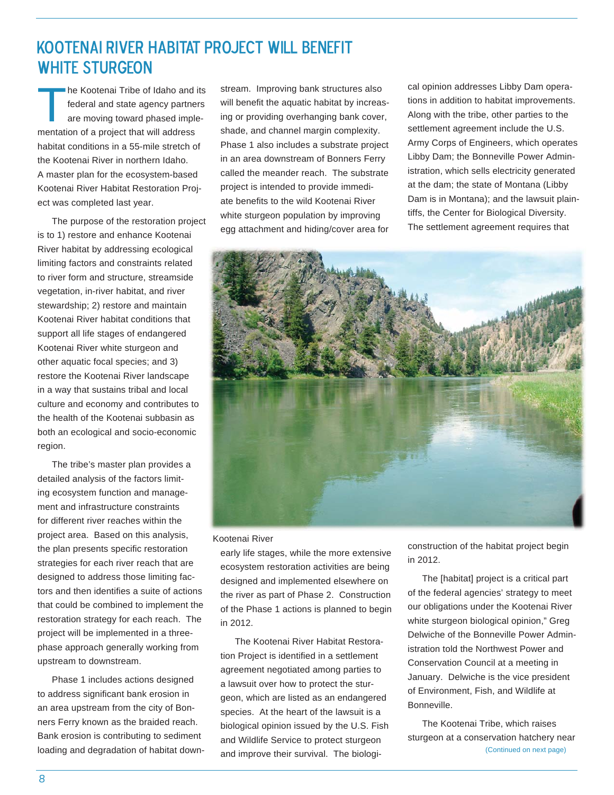# Kootenai River habitat project will benefit WHITE STURGEON

The Kootenai Tribe of Idaho and its<br>federal and state agency partners<br>are moving toward phased implefederal and state agency partners are moving toward phased implementation of a project that will address habitat conditions in a 55-mile stretch of the Kootenai River in northern Idaho. A master plan for the ecosystem-based Kootenai River Habitat Restoration Project was completed last year.

The purpose of the restoration project is to 1) restore and enhance Kootenai River habitat by addressing ecological limiting factors and constraints related to river form and structure, streamside vegetation, in-river habitat, and river stewardship; 2) restore and maintain Kootenai River habitat conditions that support all life stages of endangered Kootenai River white sturgeon and other aquatic focal species; and 3) restore the Kootenai River landscape in a way that sustains tribal and local culture and economy and contributes to the health of the Kootenai subbasin as both an ecological and socio-economic region.

The tribe's master plan provides a detailed analysis of the factors limiting ecosystem function and management and infrastructure constraints for different river reaches within the project area. Based on this analysis, the plan presents specific restoration strategies for each river reach that are designed to address those limiting factors and then identifies a suite of actions that could be combined to implement the restoration strategy for each reach. The project will be implemented in a threephase approach generally working from upstream to downstream.

Phase 1 includes actions designed to address significant bank erosion in an area upstream from the city of Bonners Ferry known as the braided reach. Bank erosion is contributing to sediment loading and degradation of habitat downstream. Improving bank structures also will benefit the aquatic habitat by increasing or providing overhanging bank cover, shade, and channel margin complexity. Phase 1 also includes a substrate project in an area downstream of Bonners Ferry called the meander reach. The substrate project is intended to provide immediate benefits to the wild Kootenai River white sturgeon population by improving egg attachment and hiding/cover area for cal opinion addresses Libby Dam operations in addition to habitat improvements. Along with the tribe, other parties to the settlement agreement include the U.S. Army Corps of Engineers, which operates Libby Dam; the Bonneville Power Administration, which sells electricity generated at the dam; the state of Montana (Libby Dam is in Montana); and the lawsuit plaintiffs, the Center for Biological Diversity. The settlement agreement requires that



#### Kootenai River

early life stages, while the more extensive ecosystem restoration activities are being designed and implemented elsewhere on the river as part of Phase 2. Construction of the Phase 1 actions is planned to begin in 2012.

The Kootenai River Habitat Restoration Project is identified in a settlement agreement negotiated among parties to a lawsuit over how to protect the sturgeon, which are listed as an endangered species. At the heart of the lawsuit is a biological opinion issued by the U.S. Fish and Wildlife Service to protect sturgeon and improve their survival. The biologiconstruction of the habitat project begin in 2012.

The [habitat] project is a critical part of the federal agencies' strategy to meet our obligations under the Kootenai River white sturgeon biological opinion," Greg Delwiche of the Bonneville Power Administration told the Northwest Power and Conservation Council at a meeting in January. Delwiche is the vice president of Environment, Fish, and Wildlife at Bonneville.

The Kootenai Tribe, which raises sturgeon at a conservation hatchery near (Continued on next page)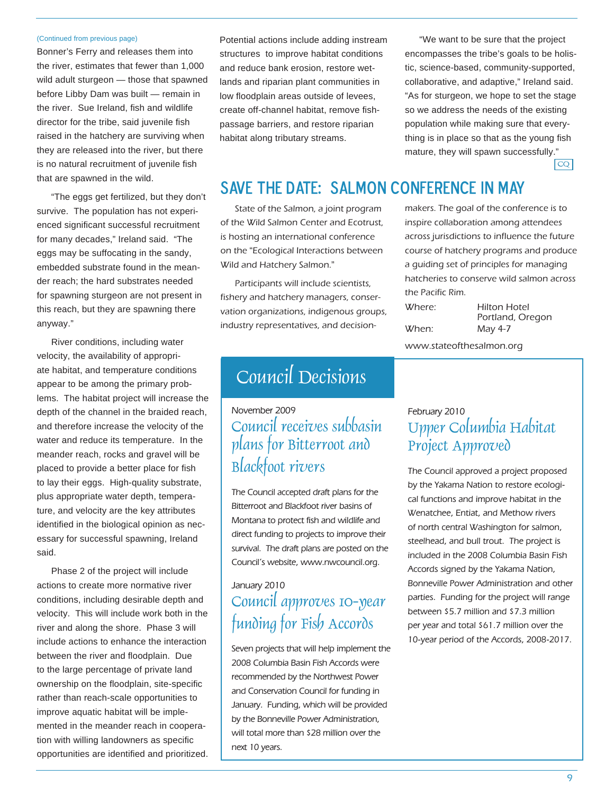#### (Continued from previous page)

Bonner's Ferry and releases them into the river, estimates that fewer than 1,000 wild adult sturgeon — those that spawned before Libby Dam was built — remain in the river. Sue Ireland, fish and wildlife director for the tribe, said juvenile fish raised in the hatchery are surviving when they are released into the river, but there is no natural recruitment of juvenile fish that are spawned in the wild.

"The eggs get fertilized, but they don't survive. The population has not experienced significant successful recruitment for many decades," Ireland said. "The eggs may be suffocating in the sandy, embedded substrate found in the meander reach; the hard substrates needed for spawning sturgeon are not present in this reach, but they are spawning there anyway."

River conditions, including water velocity, the availability of appropriate habitat, and temperature conditions appear to be among the primary problems. The habitat project will increase the depth of the channel in the braided reach, and therefore increase the velocity of the water and reduce its temperature. In the meander reach, rocks and gravel will be placed to provide a better place for fish to lay their eggs. High-quality substrate, plus appropriate water depth, temperature, and velocity are the key attributes identified in the biological opinion as necessary for successful spawning, Ireland said.

Phase 2 of the project will include actions to create more normative river conditions, including desirable depth and velocity. This will include work both in the river and along the shore. Phase 3 will include actions to enhance the interaction between the river and floodplain. Due to the large percentage of private land ownership on the floodplain, site-specific rather than reach-scale opportunities to improve aquatic habitat will be implemented in the meander reach in cooperation with willing landowners as specific opportunities are identified and prioritized.

Potential actions include adding instream structures to improve habitat conditions and reduce bank erosion, restore wetlands and riparian plant communities in low floodplain areas outside of levees, create off-channel habitat, remove fishpassage barriers, and restore riparian habitat along tributary streams.

CQ "We want to be sure that the project encompasses the tribe's goals to be holistic, science-based, community-supported, collaborative, and adaptive," Ireland said. "As for sturgeon, we hope to set the stage so we address the needs of the existing population while making sure that everything is in place so that as the young fish mature, they will spawn successfully."

Save the Date: salmon Conference in May

State of the Salmon, a joint program of the Wild Salmon Center and Ecotrust, is hosting an international conference on the "Ecological Interactions between Wild and Hatchery Salmon."

Participants will include scientists, fishery and hatchery managers, conservation organizations, indigenous groups, industry representatives, and decision-

# Council Decisions

November 2009 Council receives subbasin plans for Bitterroot and Blackfoot rivers

The Council accepted draft plans for the Bitterroot and Blackfoot river basins of Montana to protect fish and wildlife and direct funding to projects to improve their survival. The draft plans are posted on the Council's website, www.nwcouncil.org.

# January 2010 Council approves 10-year funding for Fish Accords

Seven projects that will help implement the 2008 Columbia Basin Fish Accords were recommended by the Northwest Power and Conservation Council for funding in January. Funding, which will be provided by the Bonneville Power Administration, will total more than \$28 million over the next 10 years.

makers. The goal of the conference is to inspire collaboration among attendees across jurisdictions to influence the future course of hatchery programs and produce a guiding set of principles for managing hatcheries to conserve wild salmon across the Pacific Rim.

| Where:                   | Hilton Hotel<br>Portland, Oregon |
|--------------------------|----------------------------------|
| When:                    | May 4-7                          |
| www.stateofthesalmon.org |                                  |

# February 2010 Upper Columbia Habitat Project Approved

The Council approved a project proposed by the Yakama Nation to restore ecological functions and improve habitat in the Wenatchee, Entiat, and Methow rivers of north central Washington for salmon, steelhead, and bull trout. The project is included in the 2008 Columbia Basin Fish Accords signed by the Yakama Nation, Bonneville Power Administration and other parties. Funding for the project will range between \$5.7 million and \$7.3 million per year and total \$61.7 million over the 10-year period of the Accords, 2008-2017.